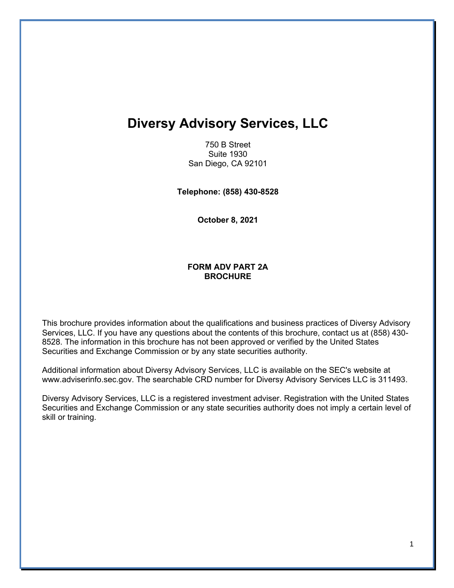# **Diversy Advisory Services, LLC**

750 B Street Suite 1930 San Diego, CA 92101

**Telephone: (858) 430-8528**

**October 8, 2021**

#### **FORM ADV PART 2A BROCHURE**

This brochure provides information about the qualifications and business practices of Diversy Advisory Services, LLC. If you have any questions about the contents of this brochure, contact us at (858) 430- 8528. The information in this brochure has not been approved or verified by the United States Securities and Exchange Commission or by any state securities authority.

Additional information about Diversy Advisory Services, LLC is available on the SEC's website at www.adviserinfo.sec.gov. The searchable CRD number for Diversy Advisory Services LLC is 311493.

Diversy Advisory Services, LLC is a registered investment adviser. Registration with the United States Securities and Exchange Commission or any state securities authority does not imply a certain level of skill or training.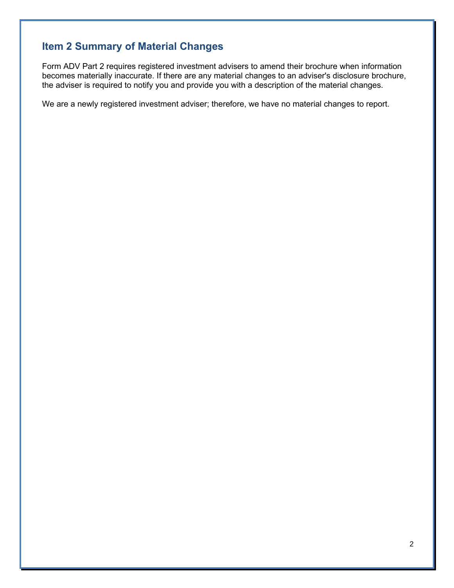# **Item 2 Summary of Material Changes**

Form ADV Part 2 requires registered investment advisers to amend their brochure when information becomes materially inaccurate. If there are any material changes to an adviser's disclosure brochure, the adviser is required to notify you and provide you with a description of the material changes.

We are a newly registered investment adviser; therefore, we have no material changes to report.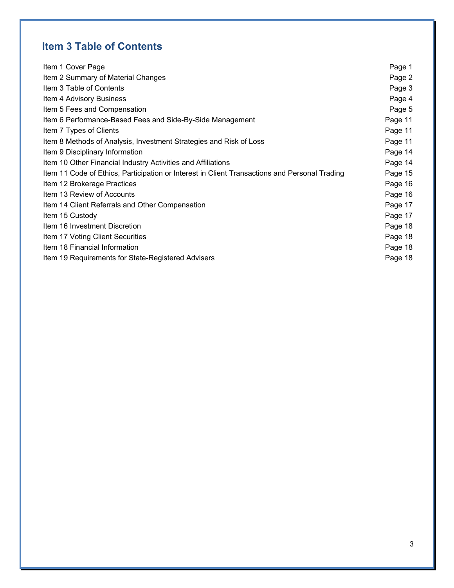# **Item 3 Table of Contents**

| Item 1 Cover Page                                                                             | Page 1  |
|-----------------------------------------------------------------------------------------------|---------|
| Item 2 Summary of Material Changes                                                            | Page 2  |
| Item 3 Table of Contents                                                                      | Page 3  |
| Item 4 Advisory Business                                                                      | Page 4  |
| Item 5 Fees and Compensation                                                                  | Page 5  |
| Item 6 Performance-Based Fees and Side-By-Side Management                                     | Page 11 |
| Item 7 Types of Clients                                                                       | Page 11 |
| Item 8 Methods of Analysis, Investment Strategies and Risk of Loss                            | Page 11 |
| Item 9 Disciplinary Information                                                               | Page 14 |
| Item 10 Other Financial Industry Activities and Affiliations                                  | Page 14 |
| Item 11 Code of Ethics, Participation or Interest in Client Transactions and Personal Trading | Page 15 |
| Item 12 Brokerage Practices                                                                   | Page 16 |
| Item 13 Review of Accounts                                                                    | Page 16 |
| Item 14 Client Referrals and Other Compensation                                               | Page 17 |
| Item 15 Custody                                                                               | Page 17 |
| Item 16 Investment Discretion                                                                 | Page 18 |
| Item 17 Voting Client Securities                                                              | Page 18 |
| Item 18 Financial Information                                                                 | Page 18 |
| Item 19 Requirements for State-Registered Advisers                                            | Page 18 |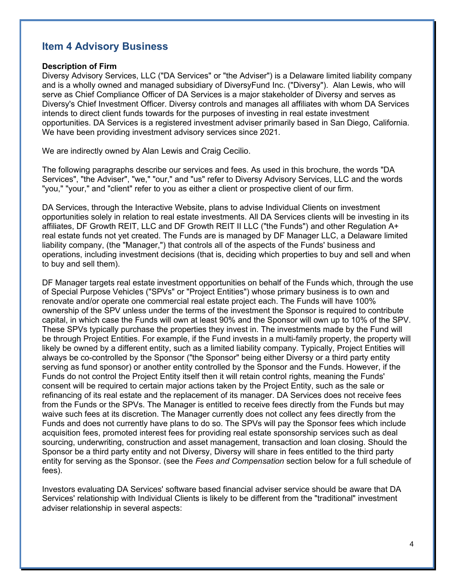# **Item 4 Advisory Business**

#### **Description of Firm**

Diversy Advisory Services, LLC ("DA Services" or "the Adviser") is a Delaware limited liability company and is a wholly owned and managed subsidiary of DiversyFund Inc. ("Diversy"). Alan Lewis, who will serve as Chief Compliance Officer of DA Services is a major stakeholder of Diversy and serves as Diversy's Chief Investment Officer. Diversy controls and manages all affiliates with whom DA Services intends to direct client funds towards for the purposes of investing in real estate investment opportunities. DA Services is a registered investment adviser primarily based in San Diego, California. We have been providing investment advisory services since 2021.

We are indirectly owned by Alan Lewis and Craig Cecilio.

The following paragraphs describe our services and fees. As used in this brochure, the words "DA Services", "the Adviser", "we," "our," and "us" refer to Diversy Advisory Services, LLC and the words "you," "your," and "client" refer to you as either a client or prospective client of our firm.

DA Services, through the Interactive Website, plans to advise Individual Clients on investment opportunities solely in relation to real estate investments. All DA Services clients will be investing in its affiliates, DF Growth REIT, LLC and DF Growth REIT II LLC ("the Funds") and other Regulation A+ real estate funds not yet created. The Funds are is managed by DF Manager LLC, a Delaware limited liability company, (the "Manager,") that controls all of the aspects of the Funds' business and operations, including investment decisions (that is, deciding which properties to buy and sell and when to buy and sell them).

DF Manager targets real estate investment opportunities on behalf of the Funds which, through the use of Special Purpose Vehicles ("SPVs" or "Project Entities") whose primary business is to own and renovate and/or operate one commercial real estate project each. The Funds will have 100% ownership of the SPV unless under the terms of the investment the Sponsor is required to contribute capital, in which case the Funds will own at least 90% and the Sponsor will own up to 10% of the SPV. These SPVs typically purchase the properties they invest in. The investments made by the Fund will be through Project Entities. For example, if the Fund invests in a multi-family property, the property will likely be owned by a different entity, such as a limited liability company. Typically, Project Entities will always be co-controlled by the Sponsor ("the Sponsor" being either Diversy or a third party entity serving as fund sponsor) or another entity controlled by the Sponsor and the Funds. However, if the Funds do not control the Project Entity itself then it will retain control rights, meaning the Funds' consent will be required to certain major actions taken by the Project Entity, such as the sale or refinancing of its real estate and the replacement of its manager. DA Services does not receive fees from the Funds or the SPVs. The Manager is entitled to receive fees directly from the Funds but may waive such fees at its discretion. The Manager currently does not collect any fees directly from the Funds and does not currently have plans to do so. The SPVs will pay the Sponsor fees which include acquisition fees, promoted interest fees for providing real estate sponsorship services such as deal sourcing, underwriting, construction and asset management, transaction and loan closing. Should the Sponsor be a third party entity and not Diversy, Diversy will share in fees entitled to the third party entity for serving as the Sponsor. (see the *Fees and Compensation* section below for a full schedule of fees).

Investors evaluating DA Services' software based financial adviser service should be aware that DA Services' relationship with Individual Clients is likely to be different from the "traditional" investment adviser relationship in several aspects: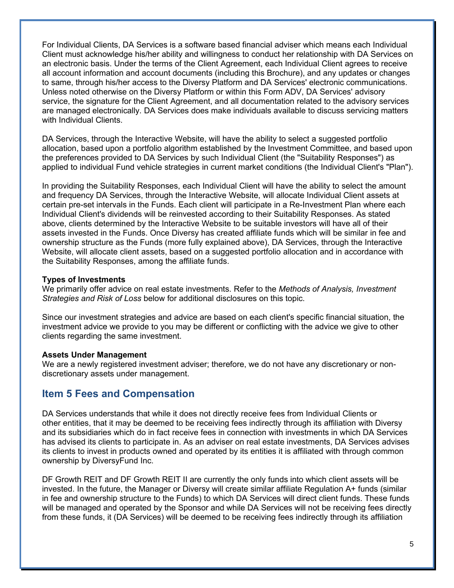For Individual Clients, DA Services is a software based financial adviser which means each Individual Client must acknowledge his/her ability and willingness to conduct her relationship with DA Services on an electronic basis. Under the terms of the Client Agreement, each Individual Client agrees to receive all account information and account documents (including this Brochure), and any updates or changes to same, through his/her access to the Diversy Platform and DA Services' electronic communications. Unless noted otherwise on the Diversy Platform or within this Form ADV, DA Services' advisory service, the signature for the Client Agreement, and all documentation related to the advisory services are managed electronically. DA Services does make individuals available to discuss servicing matters with Individual Clients.

DA Services, through the Interactive Website, will have the ability to select a suggested portfolio allocation, based upon a portfolio algorithm established by the Investment Committee, and based upon the preferences provided to DA Services by such Individual Client (the "Suitability Responses") as applied to individual Fund vehicle strategies in current market conditions (the Individual Client's "Plan").

In providing the Suitability Responses, each Individual Client will have the ability to select the amount and frequency DA Services, through the Interactive Website, will allocate Individual Client assets at certain pre-set intervals in the Funds. Each client will participate in a Re-Investment Plan where each Individual Client's dividends will be reinvested according to their Suitability Responses. As stated above, clients determined by the Interactive Website to be suitable investors will have all of their assets invested in the Funds. Once Diversy has created affiliate funds which will be similar in fee and ownership structure as the Funds (more fully explained above), DA Services, through the Interactive Website, will allocate client assets, based on a suggested portfolio allocation and in accordance with the Suitability Responses, among the affiliate funds.

### **Types of Investments**

We primarily offer advice on real estate investments. Refer to the *Methods of Analysis, Investment Strategies and Risk of Loss* below for additional disclosures on this topic.

Since our investment strategies and advice are based on each client's specific financial situation, the investment advice we provide to you may be different or conflicting with the advice we give to other clients regarding the same investment.

#### **Assets Under Management**

We are a newly registered investment adviser; therefore, we do not have any discretionary or nondiscretionary assets under management.

# **Item 5 Fees and Compensation**

DA Services understands that while it does not directly receive fees from Individual Clients or other entities, that it may be deemed to be receiving fees indirectly through its affiliation with Diversy and its subsidiaries which do in fact receive fees in connection with investments in which DA Services has advised its clients to participate in. As an adviser on real estate investments, DA Services advises its clients to invest in products owned and operated by its entities it is affiliated with through common ownership by DiversyFund Inc.

DF Growth REIT and DF Growth REIT II are currently the only funds into which client assets will be invested. In the future, the Manager or Diversy will create similar affiliate Regulation A+ funds (similar in fee and ownership structure to the Funds) to which DA Services will direct client funds. These funds will be managed and operated by the Sponsor and while DA Services will not be receiving fees directly from these funds, it (DA Services) will be deemed to be receiving fees indirectly through its affiliation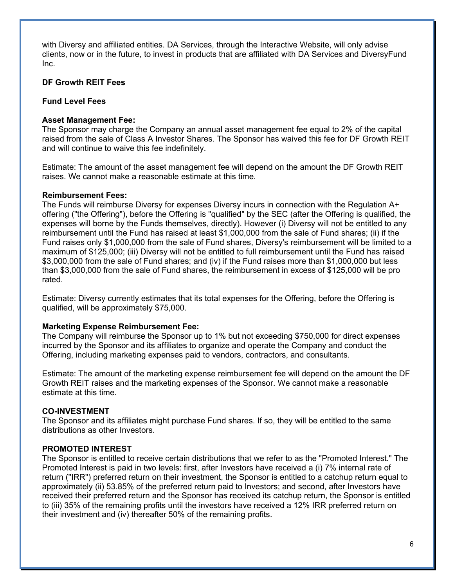with Diversy and affiliated entities. DA Services, through the Interactive Website, will only advise clients, now or in the future, to invest in products that are affiliated with DA Services and DiversyFund Inc.

# **DF Growth REIT Fees**

# **Fund Level Fees**

# **Asset Management Fee:**

The Sponsor may charge the Company an annual asset management fee equal to 2% of the capital raised from the sale of Class A Investor Shares. The Sponsor has waived this fee for DF Growth REIT and will continue to waive this fee indefinitely.

Estimate: The amount of the asset management fee will depend on the amount the DF Growth REIT raises. We cannot make a reasonable estimate at this time.

### **Reimbursement Fees:**

The Funds will reimburse Diversy for expenses Diversy incurs in connection with the Regulation A+ offering ("the Offering"), before the Offering is "qualified" by the SEC (after the Offering is qualified, the expenses will borne by the Funds themselves, directly). However (i) Diversy will not be entitled to any reimbursement until the Fund has raised at least \$1,000,000 from the sale of Fund shares; (ii) if the Fund raises only \$1,000,000 from the sale of Fund shares, Diversy's reimbursement will be limited to a maximum of \$125,000; (iii) Diversy will not be entitled to full reimbursement until the Fund has raised \$3,000,000 from the sale of Fund shares; and (iv) if the Fund raises more than \$1,000,000 but less than \$3,000,000 from the sale of Fund shares, the reimbursement in excess of \$125,000 will be pro rated.

Estimate: Diversy currently estimates that its total expenses for the Offering, before the Offering is qualified, will be approximately \$75,000.

# **Marketing Expense Reimbursement Fee:**

The Company will reimburse the Sponsor up to 1% but not exceeding \$750,000 for direct expenses incurred by the Sponsor and its affiliates to organize and operate the Company and conduct the Offering, including marketing expenses paid to vendors, contractors, and consultants.

Estimate: The amount of the marketing expense reimbursement fee will depend on the amount the DF Growth REIT raises and the marketing expenses of the Sponsor. We cannot make a reasonable estimate at this time.

# **CO-INVESTMENT**

The Sponsor and its affiliates might purchase Fund shares. If so, they will be entitled to the same distributions as other Investors.

# **PROMOTED INTEREST**

The Sponsor is entitled to receive certain distributions that we refer to as the "Promoted Interest." The Promoted Interest is paid in two levels: first, after Investors have received a (i) 7% internal rate of return ("IRR") preferred return on their investment, the Sponsor is entitled to a catchup return equal to approximately (ii) 53.85% of the preferred return paid to Investors; and second, after Investors have received their preferred return and the Sponsor has received its catchup return, the Sponsor is entitled to (iii) 35% of the remaining profits until the investors have received a 12% IRR preferred return on their investment and (iv) thereafter 50% of the remaining profits.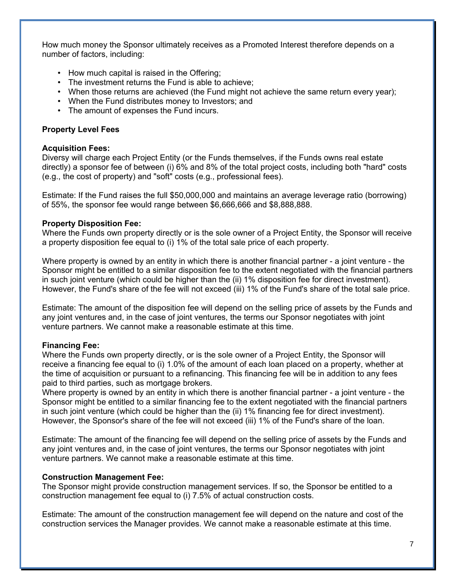How much money the Sponsor ultimately receives as a Promoted Interest therefore depends on a number of factors, including:

- How much capital is raised in the Offering;
- The investment returns the Fund is able to achieve;
- When those returns are achieved (the Fund might not achieve the same return every year);
- When the Fund distributes money to Investors; and
- The amount of expenses the Fund incurs.

### **Property Level Fees**

#### **Acquisition Fees:**

Diversy will charge each Project Entity (or the Funds themselves, if the Funds owns real estate directly) a sponsor fee of between (i) 6% and 8% of the total project costs, including both "hard" costs (e.g., the cost of property) and "soft" costs (e.g., professional fees).

Estimate: If the Fund raises the full \$50,000,000 and maintains an average leverage ratio (borrowing) of 55%, the sponsor fee would range between \$6,666,666 and \$8,888,888.

### **Property Disposition Fee:**

Where the Funds own property directly or is the sole owner of a Project Entity, the Sponsor will receive a property disposition fee equal to (i) 1% of the total sale price of each property.

Where property is owned by an entity in which there is another financial partner - a joint venture - the Sponsor might be entitled to a similar disposition fee to the extent negotiated with the financial partners in such joint venture (which could be higher than the (ii) 1% disposition fee for direct investment). However, the Fund's share of the fee will not exceed (iii) 1% of the Fund's share of the total sale price.

Estimate: The amount of the disposition fee will depend on the selling price of assets by the Funds and any joint ventures and, in the case of joint ventures, the terms our Sponsor negotiates with joint venture partners. We cannot make a reasonable estimate at this time.

# **Financing Fee:**

Where the Funds own property directly, or is the sole owner of a Project Entity, the Sponsor will receive a financing fee equal to (i) 1.0% of the amount of each loan placed on a property, whether at the time of acquisition or pursuant to a refinancing. This financing fee will be in addition to any fees paid to third parties, such as mortgage brokers.

Where property is owned by an entity in which there is another financial partner - a joint venture - the Sponsor might be entitled to a similar financing fee to the extent negotiated with the financial partners in such joint venture (which could be higher than the (ii) 1% financing fee for direct investment). However, the Sponsor's share of the fee will not exceed (iii) 1% of the Fund's share of the loan.

Estimate: The amount of the financing fee will depend on the selling price of assets by the Funds and any joint ventures and, in the case of joint ventures, the terms our Sponsor negotiates with joint venture partners. We cannot make a reasonable estimate at this time.

# **Construction Management Fee:**

The Sponsor might provide construction management services. If so, the Sponsor be entitled to a construction management fee equal to (i) 7.5% of actual construction costs.

Estimate: The amount of the construction management fee will depend on the nature and cost of the construction services the Manager provides. We cannot make a reasonable estimate at this time.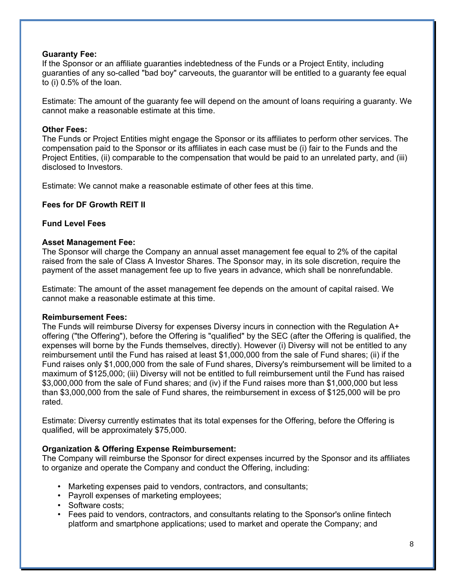### **Guaranty Fee:**

If the Sponsor or an affiliate guaranties indebtedness of the Funds or a Project Entity, including guaranties of any so-called "bad boy" carveouts, the guarantor will be entitled to a guaranty fee equal to (i) 0.5% of the loan.

Estimate: The amount of the guaranty fee will depend on the amount of loans requiring a guaranty. We cannot make a reasonable estimate at this time.

## **Other Fees:**

The Funds or Project Entities might engage the Sponsor or its affiliates to perform other services. The compensation paid to the Sponsor or its affiliates in each case must be (i) fair to the Funds and the Project Entities, (ii) comparable to the compensation that would be paid to an unrelated party, and (iii) disclosed to Investors.

Estimate: We cannot make a reasonable estimate of other fees at this time.

### **Fees for DF Growth REIT II**

### **Fund Level Fees**

### **Asset Management Fee:**

The Sponsor will charge the Company an annual asset management fee equal to 2% of the capital raised from the sale of Class A Investor Shares. The Sponsor may, in its sole discretion, require the payment of the asset management fee up to five years in advance, which shall be nonrefundable.

Estimate: The amount of the asset management fee depends on the amount of capital raised. We cannot make a reasonable estimate at this time.

#### **Reimbursement Fees:**

The Funds will reimburse Diversy for expenses Diversy incurs in connection with the Regulation A+ offering ("the Offering"), before the Offering is "qualified" by the SEC (after the Offering is qualified, the expenses will borne by the Funds themselves, directly). However (i) Diversy will not be entitled to any reimbursement until the Fund has raised at least \$1,000,000 from the sale of Fund shares; (ii) if the Fund raises only \$1,000,000 from the sale of Fund shares, Diversy's reimbursement will be limited to a maximum of \$125,000; (iii) Diversy will not be entitled to full reimbursement until the Fund has raised \$3,000,000 from the sale of Fund shares; and (iv) if the Fund raises more than \$1,000,000 but less than \$3,000,000 from the sale of Fund shares, the reimbursement in excess of \$125,000 will be pro rated.

Estimate: Diversy currently estimates that its total expenses for the Offering, before the Offering is qualified, will be approximately \$75,000.

# **Organization & Offering Expense Reimbursement:**

The Company will reimburse the Sponsor for direct expenses incurred by the Sponsor and its affiliates to organize and operate the Company and conduct the Offering, including:

- Marketing expenses paid to vendors, contractors, and consultants;
- Payroll expenses of marketing employees;
- Software costs;
- Fees paid to vendors, contractors, and consultants relating to the Sponsor's online fintech platform and smartphone applications; used to market and operate the Company; and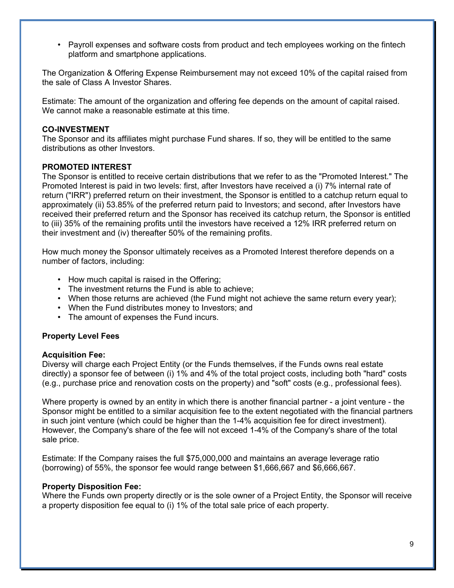• Payroll expenses and software costs from product and tech employees working on the fintech platform and smartphone applications.

The Organization & Offering Expense Reimbursement may not exceed 10% of the capital raised from the sale of Class A Investor Shares.

Estimate: The amount of the organization and offering fee depends on the amount of capital raised. We cannot make a reasonable estimate at this time.

### **CO-INVESTMENT**

The Sponsor and its affiliates might purchase Fund shares. If so, they will be entitled to the same distributions as other Investors.

### **PROMOTED INTEREST**

The Sponsor is entitled to receive certain distributions that we refer to as the "Promoted Interest." The Promoted Interest is paid in two levels: first, after Investors have received a (i) 7% internal rate of return ("IRR") preferred return on their investment, the Sponsor is entitled to a catchup return equal to approximately (ii) 53.85% of the preferred return paid to Investors; and second, after Investors have received their preferred return and the Sponsor has received its catchup return, the Sponsor is entitled to (iii) 35% of the remaining profits until the investors have received a 12% IRR preferred return on their investment and (iv) thereafter 50% of the remaining profits.

How much money the Sponsor ultimately receives as a Promoted Interest therefore depends on a number of factors, including:

- How much capital is raised in the Offering;
- The investment returns the Fund is able to achieve;
- When those returns are achieved (the Fund might not achieve the same return every year);
- When the Fund distributes money to Investors; and
- The amount of expenses the Fund incurs.

#### **Property Level Fees**

#### **Acquisition Fee:**

Diversy will charge each Project Entity (or the Funds themselves, if the Funds owns real estate directly) a sponsor fee of between (i) 1% and 4% of the total project costs, including both "hard" costs (e.g., purchase price and renovation costs on the property) and "soft" costs (e.g., professional fees).

Where property is owned by an entity in which there is another financial partner - a joint venture - the Sponsor might be entitled to a similar acquisition fee to the extent negotiated with the financial partners in such joint venture (which could be higher than the 1-4% acquisition fee for direct investment). However, the Company's share of the fee will not exceed 1-4% of the Company's share of the total sale price.

Estimate: If the Company raises the full \$75,000,000 and maintains an average leverage ratio (borrowing) of 55%, the sponsor fee would range between \$1,666,667 and \$6,666,667.

#### **Property Disposition Fee:**

Where the Funds own property directly or is the sole owner of a Project Entity, the Sponsor will receive a property disposition fee equal to (i) 1% of the total sale price of each property.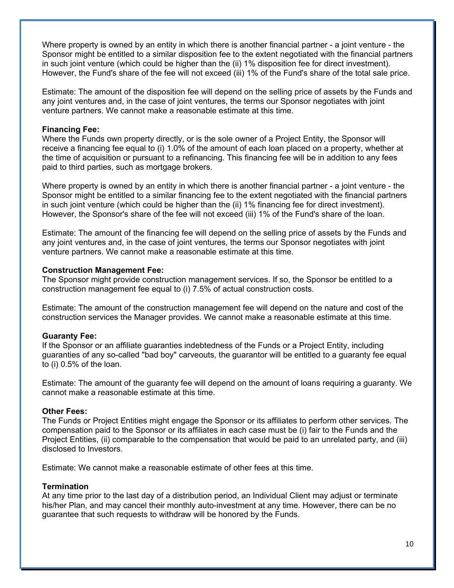Where property is owned by an entity in which there is another financial partner - a joint venture - the Sponsor might be entitled to a similar disposition fee to the extent negotiated with the financial partners in such joint venture (which could be higher than the (ii) 1% disposition fee for direct investment). However, the Fund's share of the fee will not exceed (iii) 1% of the Fund's share of the total sale price.

Estimate: The amount of the disposition fee will depend on the selling price of assets by the Funds and any joint ventures and, in the case of joint ventures, the terms our Sponsor negotiates with joint venture partners. We cannot make a reasonable estimate at this time.

#### **Financing Fee:**

Where the Funds own property directly, or is the sole owner of a Project Entity, the Sponsor will receive a financing fee equal to (i) 1.0% of the amount of each loan placed on a property, whether at the time of acquisition or pursuant to a refinancing. This financing fee will be in addition to any fees paid to third parties, such as mortgage brokers.

Where property is owned by an entity in which there is another financial partner - a joint venture - the Sponsor might be entitled to a similar financing fee to the extent negotiated with the financial partners in such joint venture (which could be higher than the (ii) 1% financing fee for direct investment). However, the Sponsor's share of the fee will not exceed (iii) 1% of the Fund's share of the loan.

Estimate: The amount of the financing fee will depend on the selling price of assets by the Funds and any joint ventures and, in the case of joint ventures, the terms our Sponsor negotiates with joint venture partners. We cannot make a reasonable estimate at this time.

### **Construction Management Fee:**

The Sponsor might provide construction management services. If so, the Sponsor be entitled to a construction management fee equal to (i) 7.5% of actual construction costs.

Estimate: The amount of the construction management fee will depend on the nature and cost of the construction services the Manager provides. We cannot make a reasonable estimate at this time.

#### **Guaranty Fee:**

If the Sponsor or an affiliate guaranties indebtedness of the Funds or a Project Entity, including guaranties of any so-called "bad boy" carveouts, the guarantor will be entitled to a guaranty fee equal to (i) 0.5% of the loan.

Estimate: The amount of the guaranty fee will depend on the amount of loans requiring a guaranty. We cannot make a reasonable estimate at this time.

#### **Other Fees:**

The Funds or Project Entities might engage the Sponsor or its affiliates to perform other services. The compensation paid to the Sponsor or its affiliates in each case must be (i) fair to the Funds and the Project Entities, (ii) comparable to the compensation that would be paid to an unrelated party, and (iii) disclosed to Investors.

Estimate: We cannot make a reasonable estimate of other fees at this time.

# **Termination**

At any time prior to the last day of a distribution period, an Individual Client may adjust or terminate his/her Plan, and may cancel their monthly auto-investment at any time. However, there can be no guarantee that such requests to withdraw will be honored by the Funds.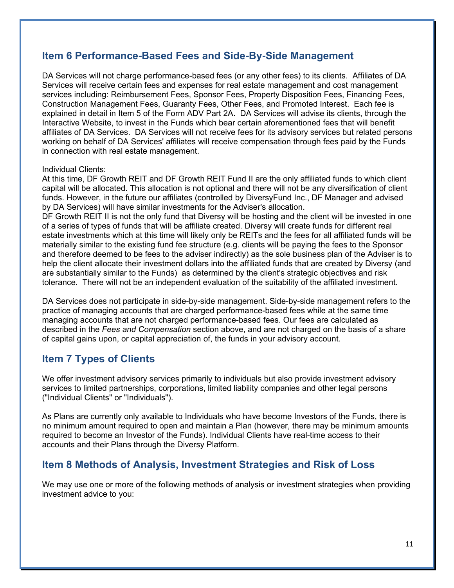# **Item 6 Performance-Based Fees and Side-By-Side Management**

DA Services will not charge performance-based fees (or any other fees) to its clients. Affiliates of DA Services will receive certain fees and expenses for real estate management and cost management services including: Reimbursement Fees, Sponsor Fees, Property Disposition Fees, Financing Fees, Construction Management Fees, Guaranty Fees, Other Fees, and Promoted Interest. Each fee is explained in detail in Item 5 of the Form ADV Part 2A. DA Services will advise its clients, through the Interactive Website, to invest in the Funds which bear certain aforementioned fees that will benefit affiliates of DA Services. DA Services will not receive fees for its advisory services but related persons working on behalf of DA Services' affiliates will receive compensation through fees paid by the Funds in connection with real estate management.

## Individual Clients:

At this time, DF Growth REIT and DF Growth REIT Fund II are the only affiliated funds to which client capital will be allocated. This allocation is not optional and there will not be any diversification of client funds. However, in the future our affiliates (controlled by DiversyFund Inc., DF Manager and advised by DA Services) will have similar investments for the Adviser's allocation.

DF Growth REIT II is not the only fund that Diversy will be hosting and the client will be invested in one of a series of types of funds that will be affiliate created. Diversy will create funds for different real estate investments which at this time will likely only be REITs and the fees for all affiliated funds will be materially similar to the existing fund fee structure (e.g. clients will be paying the fees to the Sponsor and therefore deemed to be fees to the adviser indirectly) as the sole business plan of the Adviser is to help the client allocate their investment dollars into the affiliated funds that are created by Diversy (and are substantially similar to the Funds) as determined by the client's strategic objectives and risk tolerance. There will not be an independent evaluation of the suitability of the affiliated investment.

DA Services does not participate in side-by-side management. Side-by-side management refers to the practice of managing accounts that are charged performance-based fees while at the same time managing accounts that are not charged performance-based fees. Our fees are calculated as described in the *Fees and Compensation* section above, and are not charged on the basis of a share of capital gains upon, or capital appreciation of, the funds in your advisory account.

# **Item 7 Types of Clients**

We offer investment advisory services primarily to individuals but also provide investment advisory services to limited partnerships, corporations, limited liability companies and other legal persons ("Individual Clients" or "Individuals").

As Plans are currently only available to Individuals who have become Investors of the Funds, there is no minimum amount required to open and maintain a Plan (however, there may be minimum amounts required to become an Investor of the Funds). Individual Clients have real-time access to their accounts and their Plans through the Diversy Platform.

# **Item 8 Methods of Analysis, Investment Strategies and Risk of Loss**

We may use one or more of the following methods of analysis or investment strategies when providing investment advice to you: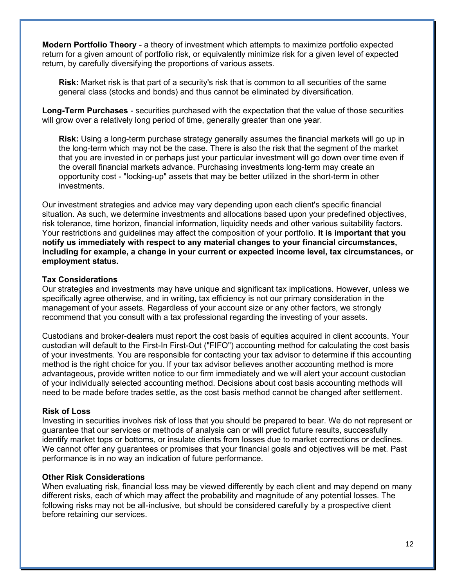**Modern Portfolio Theory** - a theory of investment which attempts to maximize portfolio expected return for a given amount of portfolio risk, or equivalently minimize risk for a given level of expected return, by carefully diversifying the proportions of various assets.

**Risk:** Market risk is that part of a security's risk that is common to all securities of the same general class (stocks and bonds) and thus cannot be eliminated by diversification.

**Long-Term Purchases** - securities purchased with the expectation that the value of those securities will grow over a relatively long period of time, generally greater than one year.

**Risk:** Using a long-term purchase strategy generally assumes the financial markets will go up in the long-term which may not be the case. There is also the risk that the segment of the market that you are invested in or perhaps just your particular investment will go down over time even if the overall financial markets advance. Purchasing investments long-term may create an opportunity cost - "locking-up" assets that may be better utilized in the short-term in other investments.

Our investment strategies and advice may vary depending upon each client's specific financial situation. As such, we determine investments and allocations based upon your predefined objectives, risk tolerance, time horizon, financial information, liquidity needs and other various suitability factors. Your restrictions and guidelines may affect the composition of your portfolio. **It is important that you notify us immediately with respect to any material changes to your financial circumstances, including for example, a change in your current or expected income level, tax circumstances, or employment status.**

#### **Tax Considerations**

Our strategies and investments may have unique and significant tax implications. However, unless we specifically agree otherwise, and in writing, tax efficiency is not our primary consideration in the management of your assets. Regardless of your account size or any other factors, we strongly recommend that you consult with a tax professional regarding the investing of your assets.

Custodians and broker-dealers must report the cost basis of equities acquired in client accounts. Your custodian will default to the First-In First-Out ("FIFO") accounting method for calculating the cost basis of your investments. You are responsible for contacting your tax advisor to determine if this accounting method is the right choice for you. If your tax advisor believes another accounting method is more advantageous, provide written notice to our firm immediately and we will alert your account custodian of your individually selected accounting method. Decisions about cost basis accounting methods will need to be made before trades settle, as the cost basis method cannot be changed after settlement.

#### **Risk of Loss**

Investing in securities involves risk of loss that you should be prepared to bear. We do not represent or guarantee that our services or methods of analysis can or will predict future results, successfully identify market tops or bottoms, or insulate clients from losses due to market corrections or declines. We cannot offer any guarantees or promises that your financial goals and objectives will be met. Past performance is in no way an indication of future performance.

#### **Other Risk Considerations**

When evaluating risk, financial loss may be viewed differently by each client and may depend on many different risks, each of which may affect the probability and magnitude of any potential losses. The following risks may not be all-inclusive, but should be considered carefully by a prospective client before retaining our services.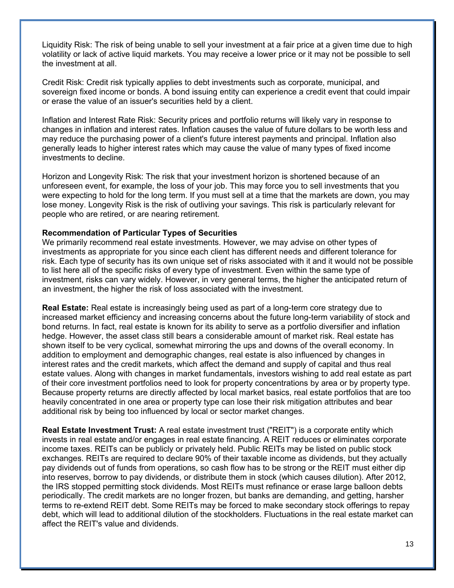Liquidity Risk: The risk of being unable to sell your investment at a fair price at a given time due to high volatility or lack of active liquid markets. You may receive a lower price or it may not be possible to sell the investment at all.

Credit Risk: Credit risk typically applies to debt investments such as corporate, municipal, and sovereign fixed income or bonds. A bond issuing entity can experience a credit event that could impair or erase the value of an issuer's securities held by a client.

Inflation and Interest Rate Risk: Security prices and portfolio returns will likely vary in response to changes in inflation and interest rates. Inflation causes the value of future dollars to be worth less and may reduce the purchasing power of a client's future interest payments and principal. Inflation also generally leads to higher interest rates which may cause the value of many types of fixed income investments to decline.

Horizon and Longevity Risk: The risk that your investment horizon is shortened because of an unforeseen event, for example, the loss of your job. This may force you to sell investments that you were expecting to hold for the long term. If you must sell at a time that the markets are down, you may lose money. Longevity Risk is the risk of outliving your savings. This risk is particularly relevant for people who are retired, or are nearing retirement.

#### **Recommendation of Particular Types of Securities**

We primarily recommend real estate investments. However, we may advise on other types of investments as appropriate for you since each client has different needs and different tolerance for risk. Each type of security has its own unique set of risks associated with it and it would not be possible to list here all of the specific risks of every type of investment. Even within the same type of investment, risks can vary widely. However, in very general terms, the higher the anticipated return of an investment, the higher the risk of loss associated with the investment.

**Real Estate:** Real estate is increasingly being used as part of a long-term core strategy due to increased market efficiency and increasing concerns about the future long-term variability of stock and bond returns. In fact, real estate is known for its ability to serve as a portfolio diversifier and inflation hedge. However, the asset class still bears a considerable amount of market risk. Real estate has shown itself to be very cyclical, somewhat mirroring the ups and downs of the overall economy. In addition to employment and demographic changes, real estate is also influenced by changes in interest rates and the credit markets, which affect the demand and supply of capital and thus real estate values. Along with changes in market fundamentals, investors wishing to add real estate as part of their core investment portfolios need to look for property concentrations by area or by property type. Because property returns are directly affected by local market basics, real estate portfolios that are too heavily concentrated in one area or property type can lose their risk mitigation attributes and bear additional risk by being too influenced by local or sector market changes.

**Real Estate Investment Trust:** A real estate investment trust ("REIT") is a corporate entity which invests in real estate and/or engages in real estate financing. A REIT reduces or eliminates corporate income taxes. REITs can be publicly or privately held. Public REITs may be listed on public stock exchanges. REITs are required to declare 90% of their taxable income as dividends, but they actually pay dividends out of funds from operations, so cash flow has to be strong or the REIT must either dip into reserves, borrow to pay dividends, or distribute them in stock (which causes dilution). After 2012, the IRS stopped permitting stock dividends. Most REITs must refinance or erase large balloon debts periodically. The credit markets are no longer frozen, but banks are demanding, and getting, harsher terms to re-extend REIT debt. Some REITs may be forced to make secondary stock offerings to repay debt, which will lead to additional dilution of the stockholders. Fluctuations in the real estate market can affect the REIT's value and dividends.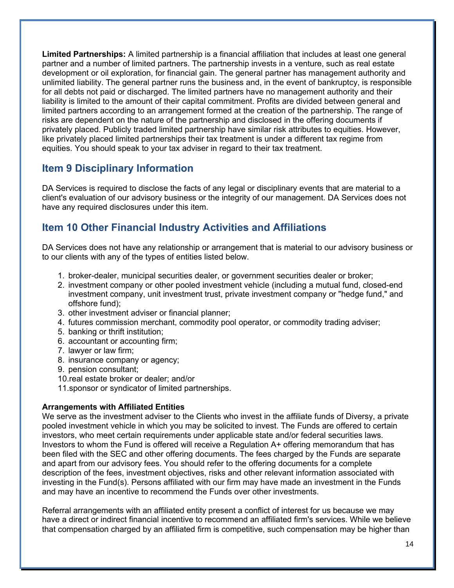**Limited Partnerships:** A limited partnership is a financial affiliation that includes at least one general partner and a number of limited partners. The partnership invests in a venture, such as real estate development or oil exploration, for financial gain. The general partner has management authority and unlimited liability. The general partner runs the business and, in the event of bankruptcy, is responsible for all debts not paid or discharged. The limited partners have no management authority and their liability is limited to the amount of their capital commitment. Profits are divided between general and limited partners according to an arrangement formed at the creation of the partnership. The range of risks are dependent on the nature of the partnership and disclosed in the offering documents if privately placed. Publicly traded limited partnership have similar risk attributes to equities. However, like privately placed limited partnerships their tax treatment is under a different tax regime from equities. You should speak to your tax adviser in regard to their tax treatment.

# **Item 9 Disciplinary Information**

DA Services is required to disclose the facts of any legal or disciplinary events that are material to a client's evaluation of our advisory business or the integrity of our management. DA Services does not have any required disclosures under this item.

# **Item 10 Other Financial Industry Activities and Affiliations**

DA Services does not have any relationship or arrangement that is material to our advisory business or to our clients with any of the types of entities listed below.

- 1. broker-dealer, municipal securities dealer, or government securities dealer or broker;
- 2. investment company or other pooled investment vehicle (including a mutual fund, closed-end investment company, unit investment trust, private investment company or "hedge fund," and offshore fund);
- 3. other investment adviser or financial planner;
- 4. futures commission merchant, commodity pool operator, or commodity trading adviser;
- 5. banking or thrift institution;
- 6. accountant or accounting firm;
- 7. lawyer or law firm;
- 8. insurance company or agency;
- 9. pension consultant;
- 10.real estate broker or dealer; and/or
- 11.sponsor or syndicator of limited partnerships.

# **Arrangements with Affiliated Entities**

We serve as the investment adviser to the Clients who invest in the affiliate funds of Diversy, a private pooled investment vehicle in which you may be solicited to invest. The Funds are offered to certain investors, who meet certain requirements under applicable state and/or federal securities laws. Investors to whom the Fund is offered will receive a Regulation A+ offering memorandum that has been filed with the SEC and other offering documents. The fees charged by the Funds are separate and apart from our advisory fees. You should refer to the offering documents for a complete description of the fees, investment objectives, risks and other relevant information associated with investing in the Fund(s). Persons affiliated with our firm may have made an investment in the Funds and may have an incentive to recommend the Funds over other investments.

Referral arrangements with an affiliated entity present a conflict of interest for us because we may have a direct or indirect financial incentive to recommend an affiliated firm's services. While we believe that compensation charged by an affiliated firm is competitive, such compensation may be higher than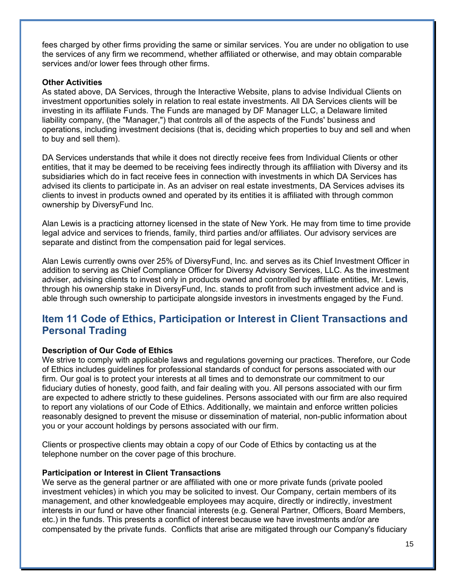fees charged by other firms providing the same or similar services. You are under no obligation to use the services of any firm we recommend, whether affiliated or otherwise, and may obtain comparable services and/or lower fees through other firms.

#### **Other Activities**

As stated above, DA Services, through the Interactive Website, plans to advise Individual Clients on investment opportunities solely in relation to real estate investments. All DA Services clients will be investing in its affiliate Funds. The Funds are managed by DF Manager LLC, a Delaware limited liability company, (the "Manager,") that controls all of the aspects of the Funds' business and operations, including investment decisions (that is, deciding which properties to buy and sell and when to buy and sell them).

DA Services understands that while it does not directly receive fees from Individual Clients or other entities, that it may be deemed to be receiving fees indirectly through its affiliation with Diversy and its subsidiaries which do in fact receive fees in connection with investments in which DA Services has advised its clients to participate in. As an adviser on real estate investments, DA Services advises its clients to invest in products owned and operated by its entities it is affiliated with through common ownership by DiversyFund Inc.

Alan Lewis is a practicing attorney licensed in the state of New York. He may from time to time provide legal advice and services to friends, family, third parties and/or affiliates. Our advisory services are separate and distinct from the compensation paid for legal services.

Alan Lewis currently owns over 25% of DiversyFund, Inc. and serves as its Chief Investment Officer in addition to serving as Chief Compliance Officer for Diversy Advisory Services, LLC. As the investment adviser, advising clients to invest only in products owned and controlled by affiliate entities, Mr. Lewis, through his ownership stake in DiversyFund, Inc. stands to profit from such investment advice and is able through such ownership to participate alongside investors in investments engaged by the Fund.

# **Item 11 Code of Ethics, Participation or Interest in Client Transactions and Personal Trading**

#### **Description of Our Code of Ethics**

We strive to comply with applicable laws and regulations governing our practices. Therefore, our Code of Ethics includes guidelines for professional standards of conduct for persons associated with our firm. Our goal is to protect your interests at all times and to demonstrate our commitment to our fiduciary duties of honesty, good faith, and fair dealing with you. All persons associated with our firm are expected to adhere strictly to these guidelines. Persons associated with our firm are also required to report any violations of our Code of Ethics. Additionally, we maintain and enforce written policies reasonably designed to prevent the misuse or dissemination of material, non-public information about you or your account holdings by persons associated with our firm.

Clients or prospective clients may obtain a copy of our Code of Ethics by contacting us at the telephone number on the cover page of this brochure.

#### **Participation or Interest in Client Transactions**

We serve as the general partner or are affiliated with one or more private funds (private pooled investment vehicles) in which you may be solicited to invest. Our Company, certain members of its management, and other knowledgeable employees may acquire, directly or indirectly, investment interests in our fund or have other financial interests (e.g. General Partner, Officers, Board Members, etc.) in the funds. This presents a conflict of interest because we have investments and/or are compensated by the private funds. Conflicts that arise are mitigated through our Company's fiduciary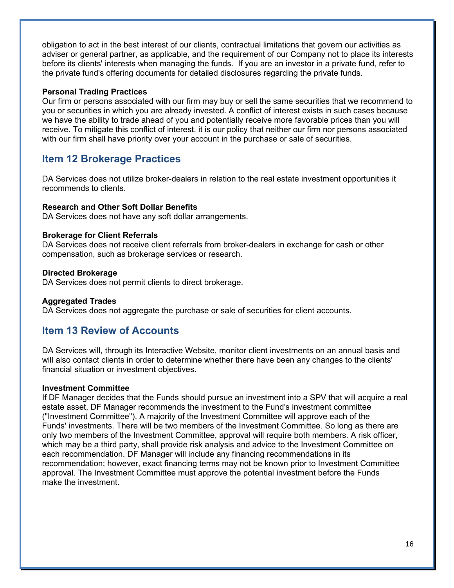obligation to act in the best interest of our clients, contractual limitations that govern our activities as adviser or general partner, as applicable, and the requirement of our Company not to place its interests before its clients' interests when managing the funds. If you are an investor in a private fund, refer to the private fund's offering documents for detailed disclosures regarding the private funds.

### **Personal Trading Practices**

Our firm or persons associated with our firm may buy or sell the same securities that we recommend to you or securities in which you are already invested. A conflict of interest exists in such cases because we have the ability to trade ahead of you and potentially receive more favorable prices than you will receive. To mitigate this conflict of interest, it is our policy that neither our firm nor persons associated with our firm shall have priority over your account in the purchase or sale of securities.

# **Item 12 Brokerage Practices**

DA Services does not utilize broker-dealers in relation to the real estate investment opportunities it recommends to clients.

### **Research and Other Soft Dollar Benefits**

DA Services does not have any soft dollar arrangements.

#### **Brokerage for Client Referrals**

DA Services does not receive client referrals from broker-dealers in exchange for cash or other compensation, such as brokerage services or research.

#### **Directed Brokerage**

DA Services does not permit clients to direct brokerage.

#### **Aggregated Trades**

DA Services does not aggregate the purchase or sale of securities for client accounts.

# **Item 13 Review of Accounts**

DA Services will, through its Interactive Website, monitor client investments on an annual basis and will also contact clients in order to determine whether there have been any changes to the clients' financial situation or investment objectives.

#### **Investment Committee**

If DF Manager decides that the Funds should pursue an investment into a SPV that will acquire a real estate asset, DF Manager recommends the investment to the Fund's investment committee ("Investment Committee"). A majority of the Investment Committee will approve each of the Funds' investments. There will be two members of the Investment Committee. So long as there are only two members of the Investment Committee, approval will require both members. A risk officer, which may be a third party, shall provide risk analysis and advice to the Investment Committee on each recommendation. DF Manager will include any financing recommendations in its recommendation; however, exact financing terms may not be known prior to Investment Committee approval. The Investment Committee must approve the potential investment before the Funds make the investment.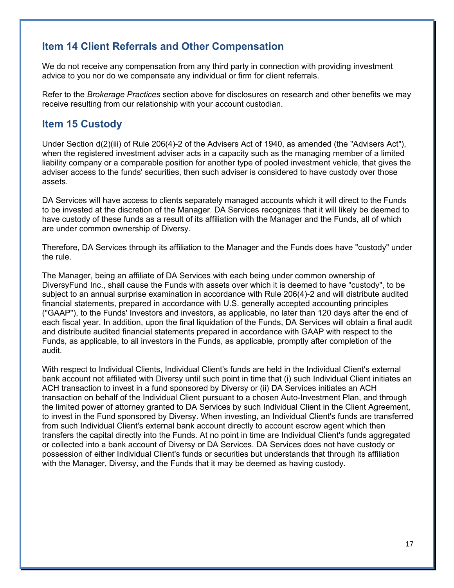# **Item 14 Client Referrals and Other Compensation**

We do not receive any compensation from any third party in connection with providing investment advice to you nor do we compensate any individual or firm for client referrals.

Refer to the *Brokerage Practices* section above for disclosures on research and other benefits we may receive resulting from our relationship with your account custodian.

# **Item 15 Custody**

Under Section d(2)(iii) of Rule 206(4)-2 of the Advisers Act of 1940, as amended (the "Advisers Act"), when the registered investment adviser acts in a capacity such as the managing member of a limited liability company or a comparable position for another type of pooled investment vehicle, that gives the adviser access to the funds' securities, then such adviser is considered to have custody over those assets.

DA Services will have access to clients separately managed accounts which it will direct to the Funds to be invested at the discretion of the Manager. DA Services recognizes that it will likely be deemed to have custody of these funds as a result of its affiliation with the Manager and the Funds, all of which are under common ownership of Diversy.

Therefore, DA Services through its affiliation to the Manager and the Funds does have "custody" under the rule.

The Manager, being an affiliate of DA Services with each being under common ownership of DiversyFund Inc., shall cause the Funds with assets over which it is deemed to have "custody", to be subject to an annual surprise examination in accordance with Rule 206(4)-2 and will distribute audited financial statements, prepared in accordance with U.S. generally accepted accounting principles ("GAAP"), to the Funds' Investors and investors, as applicable, no later than 120 days after the end of each fiscal year. In addition, upon the final liquidation of the Funds, DA Services will obtain a final audit and distribute audited financial statements prepared in accordance with GAAP with respect to the Funds, as applicable, to all investors in the Funds, as applicable, promptly after completion of the audit.

With respect to Individual Clients, Individual Client's funds are held in the Individual Client's external bank account not affiliated with Diversy until such point in time that (i) such Individual Client initiates an ACH transaction to invest in a fund sponsored by Diversy or (ii) DA Services initiates an ACH transaction on behalf of the Individual Client pursuant to a chosen Auto-Investment Plan, and through the limited power of attorney granted to DA Services by such Individual Client in the Client Agreement, to invest in the Fund sponsored by Diversy. When investing, an Individual Client's funds are transferred from such Individual Client's external bank account directly to account escrow agent which then transfers the capital directly into the Funds. At no point in time are Individual Client's funds aggregated or collected into a bank account of Diversy or DA Services. DA Services does not have custody or possession of either Individual Client's funds or securities but understands that through its affiliation with the Manager, Diversy, and the Funds that it may be deemed as having custody.